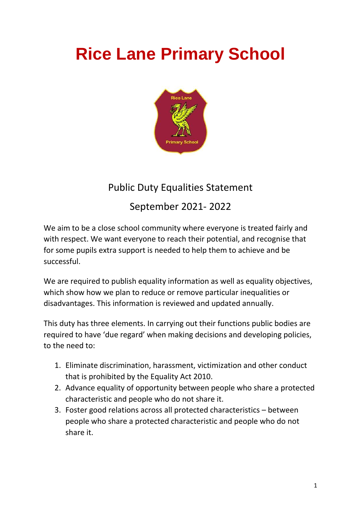## **Rice Lane Primary School**



## Public Duty Equalities Statement

September 2021- 2022

We aim to be a close school community where everyone is treated fairly and with respect. We want everyone to reach their potential, and recognise that for some pupils extra support is needed to help them to achieve and be successful.

We are required to publish equality information as well as equality objectives, which show how we plan to reduce or remove particular inequalities or disadvantages. This information is reviewed and updated annually.

This duty has three elements. In carrying out their functions public bodies are required to have 'due regard' when making decisions and developing policies, to the need to:

- 1. Eliminate discrimination, harassment, victimization and other conduct that is prohibited by the Equality Act 2010.
- 2. Advance equality of opportunity between people who share a protected characteristic and people who do not share it.
- 3. Foster good relations across all protected characteristics between people who share a protected characteristic and people who do not share it.